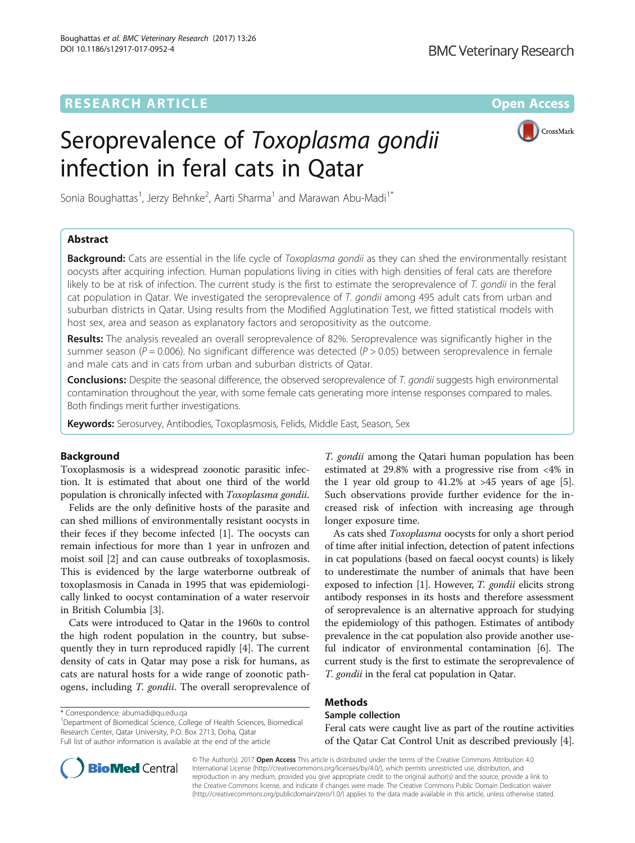# **RESEARCH ARTICLE External Structure Community Community Community Community Community Community Community Community**

# Seroprevalence of Toxoplasma gondii infection in feral cats in Qatar



Sonia Boughattas<sup>1</sup>, Jerzy Behnke<sup>2</sup>, Aarti Sharma<sup>1</sup> and Marawan Abu-Madi<sup>1\*</sup>

# Abstract

Background: Cats are essential in the life cycle of Toxoplasma gondii as they can shed the environmentally resistant oocysts after acquiring infection. Human populations living in cities with high densities of feral cats are therefore likely to be at risk of infection. The current study is the first to estimate the seroprevalence of T. gondii in the feral cat population in Qatar. We investigated the seroprevalence of T. gondii among 495 adult cats from urban and suburban districts in Qatar. Using results from the Modified Agglutination Test, we fitted statistical models with host sex, area and season as explanatory factors and seropositivity as the outcome.

Results: The analysis revealed an overall seroprevalence of 82%. Seroprevalence was significantly higher in the summer season ( $P = 0.006$ ). No significant difference was detected ( $P > 0.05$ ) between seroprevalence in female and male cats and in cats from urban and suburban districts of Qatar.

Conclusions: Despite the seasonal difference, the observed seroprevalence of T. gondii suggests high environmental contamination throughout the year, with some female cats generating more intense responses compared to males. Both findings merit further investigations.

Keywords: Serosurvey, Antibodies, Toxoplasmosis, Felids, Middle East, Season, Sex

# Background

Toxoplasmosis is a widespread zoonotic parasitic infection. It is estimated that about one third of the world population is chronically infected with Toxoplasma gondii.

Felids are the only definitive hosts of the parasite and can shed millions of environmentally resistant oocysts in their feces if they become infected [[1\]](#page-4-0). The oocysts can remain infectious for more than 1 year in unfrozen and moist soil [\[2](#page-4-0)] and can cause outbreaks of toxoplasmosis. This is evidenced by the large waterborne outbreak of toxoplasmosis in Canada in 1995 that was epidemiologically linked to oocyst contamination of a water reservoir in British Columbia [\[3](#page-4-0)].

Cats were introduced to Qatar in the 1960s to control the high rodent population in the country, but subsequently they in turn reproduced rapidly [\[4](#page-4-0)]. The current density of cats in Qatar may pose a risk for humans, as cats are natural hosts for a wide range of zoonotic pathogens, including *T. gondii*. The overall seroprevalence of

\* Correspondence: [abumadi@qu.edu.qa](mailto:abumadi@qu.edu.qa) <sup>1</sup>

<sup>1</sup>Department of Biomedical Science, College of Health Sciences, Biomedical Research Center, Qatar University, P.O. Box 2713, Doha, Qatar Full list of author information is available at the end of the article

T. gondii among the Qatari human population has been estimated at 29.8% with a progressive rise from <4% in the 1 year old group to  $41.2\%$  at  $>45$  years of age [\[5](#page-4-0)]. Such observations provide further evidence for the increased risk of infection with increasing age through longer exposure time.

As cats shed Toxoplasma oocysts for only a short period of time after initial infection, detection of patent infections in cat populations (based on faecal oocyst counts) is likely to underestimate the number of animals that have been exposed to infection [[1\]](#page-4-0). However, *T. gondii* elicits strong antibody responses in its hosts and therefore assessment of seroprevalence is an alternative approach for studying the epidemiology of this pathogen. Estimates of antibody prevalence in the cat population also provide another useful indicator of environmental contamination [[6\]](#page-4-0). The current study is the first to estimate the seroprevalence of T. gondii in the feral cat population in Qatar.

# Methods

# Sample collection

Feral cats were caught live as part of the routine activities of the Qatar Cat Control Unit as described previously [[4](#page-4-0)].



© The Author(s). 2017 Open Access This article is distributed under the terms of the Creative Commons Attribution 4.0 International License [\(http://creativecommons.org/licenses/by/4.0/](http://creativecommons.org/licenses/by/4.0/)), which permits unrestricted use, distribution, and reproduction in any medium, provided you give appropriate credit to the original author(s) and the source, provide a link to the Creative Commons license, and indicate if changes were made. The Creative Commons Public Domain Dedication waiver [\(http://creativecommons.org/publicdomain/zero/1.0/](http://creativecommons.org/publicdomain/zero/1.0/)) applies to the data made available in this article, unless otherwise stated.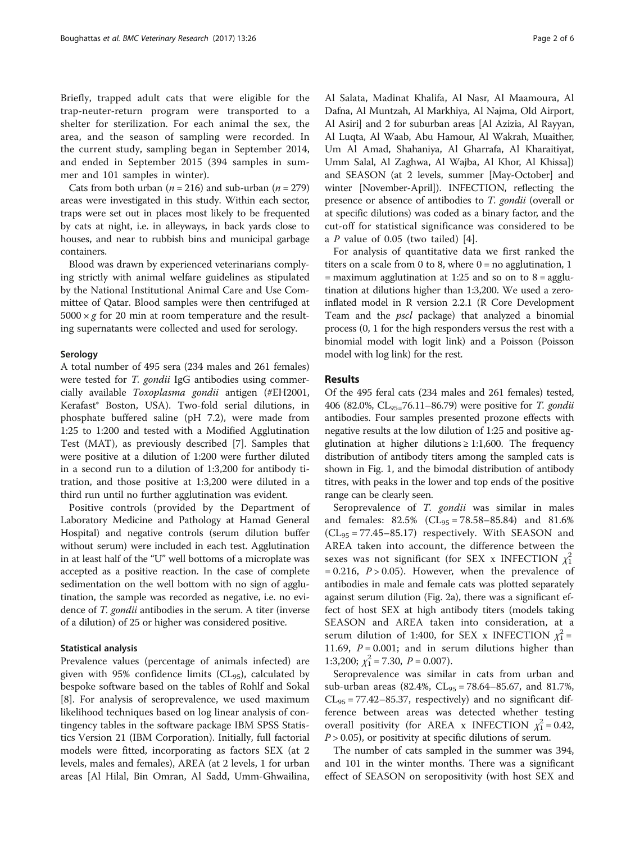Briefly, trapped adult cats that were eligible for the trap-neuter-return program were transported to a shelter for sterilization. For each animal the sex, the area, and the season of sampling were recorded. In the current study, sampling began in September 2014, and ended in September 2015 (394 samples in summer and 101 samples in winter).

Cats from both urban ( $n = 216$ ) and sub-urban ( $n = 279$ ) areas were investigated in this study. Within each sector, traps were set out in places most likely to be frequented by cats at night, i.e. in alleyways, in back yards close to houses, and near to rubbish bins and municipal garbage containers.

Blood was drawn by experienced veterinarians complying strictly with animal welfare guidelines as stipulated by the National Institutional Animal Care and Use Committee of Qatar. Blood samples were then centrifuged at  $5000 \times g$  for 20 min at room temperature and the resulting supernatants were collected and used for serology.

## Serology

A total number of 495 sera (234 males and 261 females) were tested for *T. gondii* IgG antibodies using commercially available Toxoplasma gondii antigen (#EH2001, Kerafast® Boston, USA). Two-fold serial dilutions, in phosphate buffered saline (pH 7.2), were made from 1:25 to 1:200 and tested with a Modified Agglutination Test (MAT), as previously described [\[7](#page-4-0)]. Samples that were positive at a dilution of 1:200 were further diluted in a second run to a dilution of 1:3,200 for antibody titration, and those positive at 1:3,200 were diluted in a third run until no further agglutination was evident.

Positive controls (provided by the Department of Laboratory Medicine and Pathology at Hamad General Hospital) and negative controls (serum dilution buffer without serum) were included in each test. Agglutination in at least half of the "U" well bottoms of a microplate was accepted as a positive reaction. In the case of complete sedimentation on the well bottom with no sign of agglutination, the sample was recorded as negative, i.e. no evidence of T. gondii antibodies in the serum. A titer (inverse of a dilution) of 25 or higher was considered positive.

## Statistical analysis

Prevalence values (percentage of animals infected) are given with 95% confidence limits ( $CL_{95}$ ), calculated by bespoke software based on the tables of Rohlf and Sokal [[8\]](#page-4-0). For analysis of seroprevalence, we used maximum likelihood techniques based on log linear analysis of contingency tables in the software package IBM SPSS Statistics Version 21 (IBM Corporation). Initially, full factorial models were fitted, incorporating as factors SEX (at 2 levels, males and females), AREA (at 2 levels, 1 for urban areas [Al Hilal, Bin Omran, Al Sadd, Umm-Ghwailina,

Al Salata, Madinat Khalifa, Al Nasr, Al Maamoura, Al Dafna, Al Muntzah, Al Markhiya, Al Najma, Old Airport, Al Asiri] and 2 for suburban areas [Al Azizia, Al Rayyan, Al Luqta, Al Waab, Abu Hamour, Al Wakrah, Muaither, Um Al Amad, Shahaniya, Al Gharrafa, Al Kharaitiyat, Umm Salal, Al Zaghwa, Al Wajba, Al Khor, Al Khissa]) and SEASON (at 2 levels, summer [May-October] and winter [November-April]). INFECTION, reflecting the presence or absence of antibodies to T. gondii (overall or at specific dilutions) was coded as a binary factor, and the cut-off for statistical significance was considered to be a  $P$  value of 0.05 (two tailed) [\[4](#page-4-0)].

For analysis of quantitative data we first ranked the titers on a scale from 0 to 8, where  $0 =$  no agglutination, 1  $=$  maximum agglutination at 1:25 and so on to 8 = agglutination at dilutions higher than 1:3,200. We used a zeroinflated model in R version 2.2.1 (R Core Development Team and the pscl package) that analyzed a binomial process (0, 1 for the high responders versus the rest with a binomial model with logit link) and a Poisson (Poisson model with log link) for the rest.

## Results

Of the 495 feral cats (234 males and 261 females) tested, 406 (82.0%,  $CL_{95=7}$ 6.11–86.79) were positive for *T. gondii* antibodies. Four samples presented prozone effects with negative results at the low dilution of 1:25 and positive agglutination at higher dilutions  $\geq 1:1,600$ . The frequency distribution of antibody titers among the sampled cats is shown in Fig. [1,](#page-2-0) and the bimodal distribution of antibody titres, with peaks in the lower and top ends of the positive range can be clearly seen.

Seroprevalence of T. gondii was similar in males and females:  $82.5\%$  (CL<sub>95</sub> = 78.58–85.84) and 81.6%  $CL_{95} = 77.45 - 85.17$  respectively. With SEASON and AREA taken into account, the difference between the sexes was not significant (for SEX x INFECTION  $\chi_1^2$  $= 0.216$ ,  $P > 0.05$ ). However, when the prevalence of antibodies in male and female cats was plotted separately against serum dilution (Fig. [2a](#page-3-0)), there was a significant effect of host SEX at high antibody titers (models taking SEASON and AREA taken into consideration, at a serum dilution of 1:400, for SEX x INFECTION  $\chi_1^2$  = 11.69,  $P = 0.001$ ; and in serum dilutions higher than 1:3,200;  $\chi_1^2 = 7.30$ ,  $P = 0.007$ ).

Seroprevalence was similar in cats from urban and sub-urban areas (82.4%,  $CL_{95} = 78.64 - 85.67$ , and 81.7%,  $CL_{95} = 77.42 - 85.37$ , respectively) and no significant difference between areas was detected whether testing overall positivity (for AREA x INFECTION  $\chi_1^2 = 0.42$ ,  $P > 0.05$ ), or positivity at specific dilutions of serum.

The number of cats sampled in the summer was 394, and 101 in the winter months. There was a significant effect of SEASON on seropositivity (with host SEX and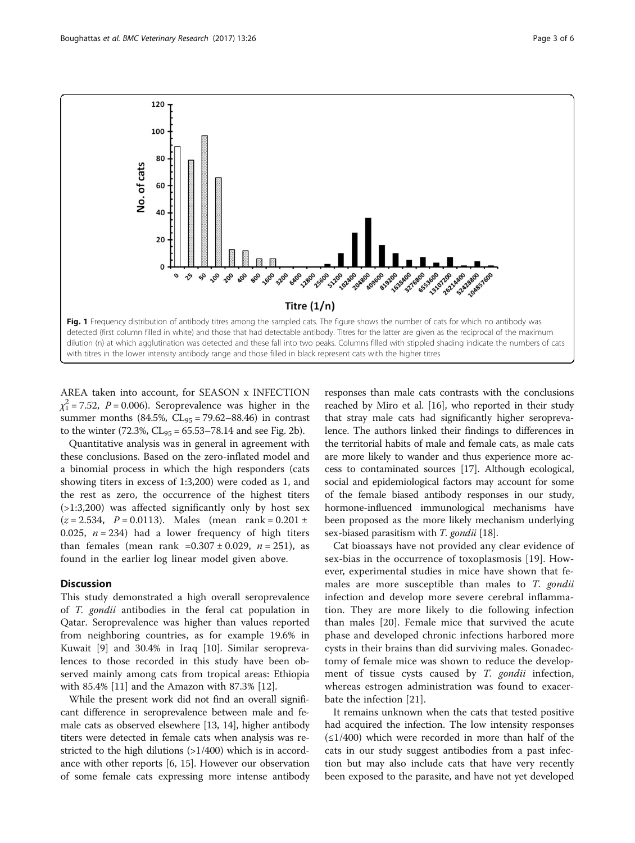

<span id="page-2-0"></span>

AREA taken into account, for SEASON x INFECTION  $\chi_1^2$  = 7.52, P = 0.006). Seroprevalence was higher in the summer months (84.5%,  $CL_{95} = 79.62 - 88.46$ ) in contrast to the winter  $(72.3\%, CL_{95} = 65.53 - 78.14)$  and see Fig. [2b\)](#page-3-0).

Quantitative analysis was in general in agreement with these conclusions. Based on the zero-inflated model and a binomial process in which the high responders (cats showing titers in excess of 1:3,200) were coded as 1, and the rest as zero, the occurrence of the highest titers (>1:3,200) was affected significantly only by host sex  $(z = 2.534, P = 0.0113)$ . Males (mean rank = 0.201 ± 0.025,  $n = 234$ ) had a lower frequency of high titers than females (mean rank =0.307 ± 0.029,  $n = 251$ ), as found in the earlier log linear model given above.

# **Discussion**

This study demonstrated a high overall seroprevalence of T. gondii antibodies in the feral cat population in Qatar. Seroprevalence was higher than values reported from neighboring countries, as for example 19.6% in Kuwait [[9\]](#page-4-0) and 30.4% in Iraq [[10](#page-4-0)]. Similar seroprevalences to those recorded in this study have been observed mainly among cats from tropical areas: Ethiopia with 85.4% [\[11](#page-4-0)] and the Amazon with 87.3% [\[12\]](#page-4-0).

While the present work did not find an overall significant difference in seroprevalence between male and female cats as observed elsewhere [\[13, 14\]](#page-4-0), higher antibody titers were detected in female cats when analysis was restricted to the high dilutions (>1/400) which is in accordance with other reports [[6, 15\]](#page-4-0). However our observation of some female cats expressing more intense antibody

responses than male cats contrasts with the conclusions reached by Miro et al. [[16](#page-4-0)], who reported in their study that stray male cats had significantly higher seroprevalence. The authors linked their findings to differences in the territorial habits of male and female cats, as male cats are more likely to wander and thus experience more access to contaminated sources [\[17\]](#page-4-0). Although ecological, social and epidemiological factors may account for some of the female biased antibody responses in our study, hormone-influenced immunological mechanisms have been proposed as the more likely mechanism underlying sex-biased parasitism with *T. gondii* [[18](#page-4-0)].

Cat bioassays have not provided any clear evidence of sex-bias in the occurrence of toxoplasmosis [\[19](#page-4-0)]. However, experimental studies in mice have shown that females are more susceptible than males to T. gondii infection and develop more severe cerebral inflammation. They are more likely to die following infection than males [[20\]](#page-4-0). Female mice that survived the acute phase and developed chronic infections harbored more cysts in their brains than did surviving males. Gonadectomy of female mice was shown to reduce the development of tissue cysts caused by T. gondii infection, whereas estrogen administration was found to exacerbate the infection [\[21](#page-4-0)].

It remains unknown when the cats that tested positive had acquired the infection. The low intensity responses  $(\leq 1/400)$  which were recorded in more than half of the cats in our study suggest antibodies from a past infection but may also include cats that have very recently been exposed to the parasite, and have not yet developed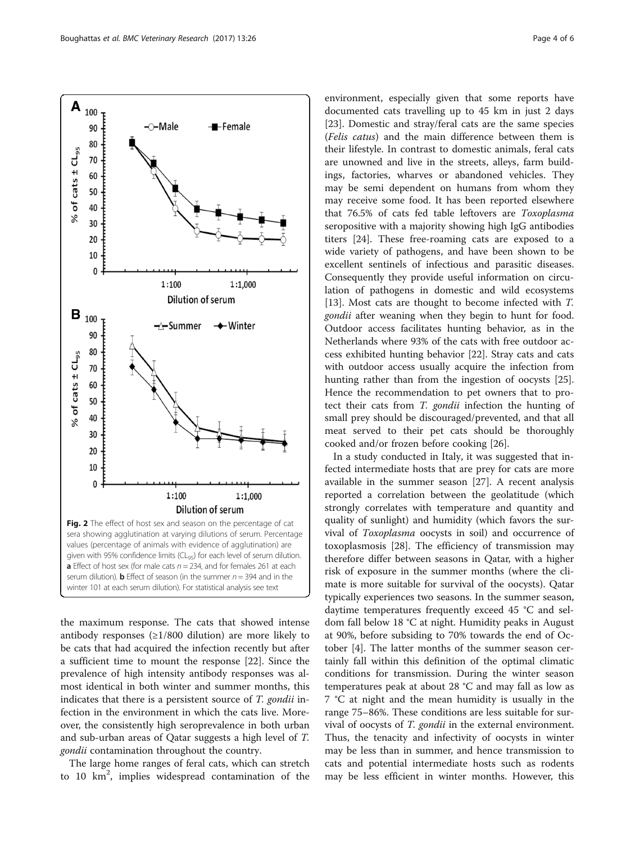<span id="page-3-0"></span>

the maximum response. The cats that showed intense antibody responses  $(\geq 1/800)$  dilution) are more likely to be cats that had acquired the infection recently but after a sufficient time to mount the response [[22](#page-4-0)]. Since the prevalence of high intensity antibody responses was almost identical in both winter and summer months, this indicates that there is a persistent source of T. gondii infection in the environment in which the cats live. Moreover, the consistently high seroprevalence in both urban and sub-urban areas of Qatar suggests a high level of T. gondii contamination throughout the country.

The large home ranges of feral cats, which can stretch to 10 km<sup>2</sup>, implies widespread contamination of the

environment, especially given that some reports have documented cats travelling up to 45 km in just 2 days [[23\]](#page-4-0). Domestic and stray/feral cats are the same species (Felis catus) and the main difference between them is their lifestyle. In contrast to domestic animals, feral cats are unowned and live in the streets, alleys, farm buildings, factories, wharves or abandoned vehicles. They may be semi dependent on humans from whom they may receive some food. It has been reported elsewhere that 76.5% of cats fed table leftovers are Toxoplasma seropositive with a majority showing high IgG antibodies titers [\[24\]](#page-4-0). These free-roaming cats are exposed to a wide variety of pathogens, and have been shown to be excellent sentinels of infectious and parasitic diseases. Consequently they provide useful information on circulation of pathogens in domestic and wild ecosystems [[13\]](#page-4-0). Most cats are thought to become infected with T. gondii after weaning when they begin to hunt for food. Outdoor access facilitates hunting behavior, as in the Netherlands where 93% of the cats with free outdoor access exhibited hunting behavior [\[22](#page-4-0)]. Stray cats and cats with outdoor access usually acquire the infection from hunting rather than from the ingestion of oocysts [\[25](#page-5-0)]. Hence the recommendation to pet owners that to protect their cats from T. gondii infection the hunting of small prey should be discouraged/prevented, and that all meat served to their pet cats should be thoroughly cooked and/or frozen before cooking [[26\]](#page-5-0).

In a study conducted in Italy, it was suggested that infected intermediate hosts that are prey for cats are more available in the summer season [\[27](#page-5-0)]. A recent analysis reported a correlation between the geolatitude (which strongly correlates with temperature and quantity and quality of sunlight) and humidity (which favors the survival of Toxoplasma oocysts in soil) and occurrence of toxoplasmosis [\[28\]](#page-5-0). The efficiency of transmission may therefore differ between seasons in Qatar, with a higher risk of exposure in the summer months (where the climate is more suitable for survival of the oocysts). Qatar typically experiences two seasons. In the summer season, daytime temperatures frequently exceed 45 °C and seldom fall below 18 °C at night. Humidity peaks in August at 90%, before subsiding to 70% towards the end of October [\[4\]](#page-4-0). The latter months of the summer season certainly fall within this definition of the optimal climatic conditions for transmission. During the winter season temperatures peak at about 28 °C and may fall as low as 7 °C at night and the mean humidity is usually in the range 75–86%. These conditions are less suitable for survival of oocysts of T. gondii in the external environment. Thus, the tenacity and infectivity of oocysts in winter may be less than in summer, and hence transmission to cats and potential intermediate hosts such as rodents may be less efficient in winter months. However, this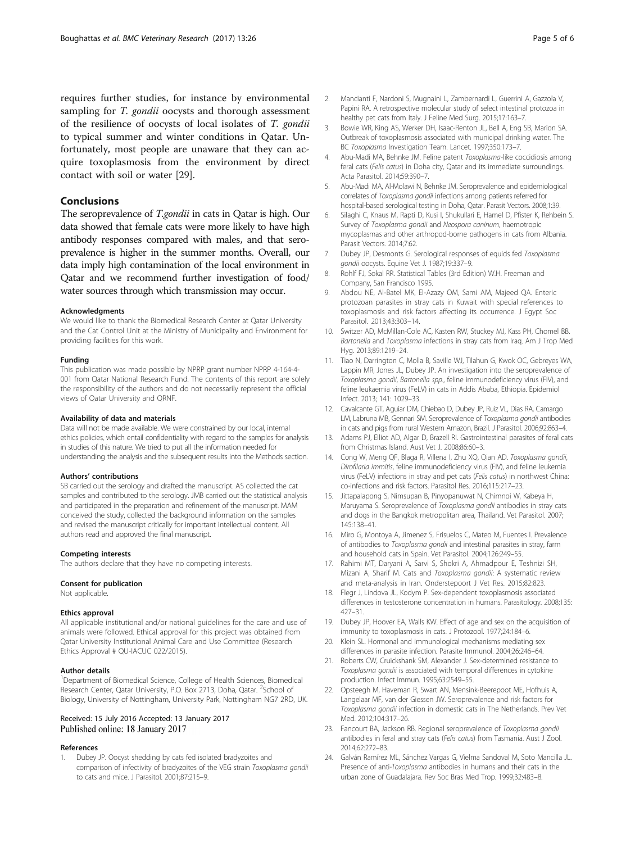<span id="page-4-0"></span>requires further studies, for instance by environmental sampling for T. gondii oocysts and thorough assessment of the resilience of oocysts of local isolates of T. gondii to typical summer and winter conditions in Qatar. Unfortunately, most people are unaware that they can acquire toxoplasmosis from the environment by direct contact with soil or water [[29\]](#page-5-0).

## Conclusions

The seroprevalence of T.gondii in cats in Qatar is high. Our data showed that female cats were more likely to have high antibody responses compared with males, and that seroprevalence is higher in the summer months. Overall, our data imply high contamination of the local environment in Qatar and we recommend further investigation of food/ water sources through which transmission may occur.

#### Acknowledgments

We would like to thank the Biomedical Research Center at Qatar University and the Cat Control Unit at the Ministry of Municipality and Environment for providing facilities for this work.

#### Funding

This publication was made possible by NPRP grant number NPRP 4-164-4- 001 from Qatar National Research Fund. The contents of this report are solely the responsibility of the authors and do not necessarily represent the official views of Qatar University and QRNF.

#### Availability of data and materials

Data will not be made available. We were constrained by our local, internal ethics policies, which entail confidentiality with regard to the samples for analysis in studies of this nature. We tried to put all the information needed for understanding the analysis and the subsequent results into the Methods section.

#### Authors' contributions

SB carried out the serology and drafted the manuscript. AS collected the cat samples and contributed to the serology. JMB carried out the statistical analysis and participated in the preparation and refinement of the manuscript. MAM conceived the study, collected the background information on the samples and revised the manuscript critically for important intellectual content. All authors read and approved the final manuscript.

#### Competing interests

The authors declare that they have no competing interests.

#### Consent for publication

Not applicable.

#### Ethics approval

All applicable institutional and/or national guidelines for the care and use of animals were followed. Ethical approval for this project was obtained from Qatar University Institutional Animal Care and Use Committee (Research Ethics Approval # QU-IACUC 022/2015).

### Author details

<sup>1</sup>Department of Biomedical Science, College of Health Sciences, Biomedical Research Center, Qatar University, P.O. Box 2713, Doha, Qatar. <sup>2</sup>School of Biology, University of Nottingham, University Park, Nottingham NG7 2RD, UK.

## Received: 15 July 2016 Accepted: 13 January 2017 Published online: 18 January 2017

#### References

Dubey JP. Oocyst shedding by cats fed isolated bradyzoites and comparison of infectivity of bradyzoites of the VEG strain Toxoplasma gondii to cats and mice. J Parasitol. 2001;87:215–9.

- 2. Mancianti F, Nardoni S, Mugnaini L, Zambernardi L, Guerrini A, Gazzola V, Papini RA. A retrospective molecular study of select intestinal protozoa in healthy pet cats from Italy. J Feline Med Surg. 2015;17:163–7.
- 3. Bowie WR, King AS, Werker DH, Isaac-Renton JL, Bell A, Eng SB, Marion SA. Outbreak of toxoplasmosis associated with municipal drinking water. The BC Toxoplasma Investigation Team. Lancet. 1997;350:173–7.
- 4. Abu-Madi MA, Behnke JM. Feline patent Toxoplasma-like coccidiosis among feral cats (Felis catus) in Doha city, Qatar and its immediate surroundings. Acta Parasitol. 2014;59:390–7.
- 5. Abu-Madi MA, Al-Molawi N, Behnke JM. Seroprevalence and epidemiological correlates of Toxoplasma gondii infections among patients referred for hospital-based serological testing in Doha, Qatar. Parasit Vectors. 2008;1:39.
- 6. Silaghi C, Knaus M, Rapti D, Kusi I, Shukullari E, Hamel D, Pfister K, Rehbein S. Survey of Toxoplasma gondii and Neospora caninum, haemotropic mycoplasmas and other arthropod-borne pathogens in cats from Albania. Parasit Vectors. 2014;7:62.
- 7. Dubey JP, Desmonts G. Serological responses of equids fed Toxoplasma gondii oocysts. Equine Vet J. 1987;19:337–9.
- 8. Rohlf FJ, Sokal RR. Statistical Tables (3rd Edition) W.H. Freeman and Company, San Francisco 1995.
- 9. Abdou NE, Al-Batel MK, El-Azazy OM, Sami AM, Majeed QA. Enteric protozoan parasites in stray cats in Kuwait with special references to toxoplasmosis and risk factors affecting its occurrence. J Egypt Soc Parasitol. 2013;43:303–14.
- 10. Switzer AD, McMillan-Cole AC, Kasten RW, Stuckey MJ, Kass PH, Chomel BB. Bartonella and Toxoplasma infections in stray cats from Iraq. Am J Trop Med Hyg. 2013;89:1219–24.
- 11. Tiao N, Darrington C, Molla B, Saville WJ, Tilahun G, Kwok OC, Gebreyes WA, Lappin MR, Jones JL, Dubey JP. An investigation into the seroprevalence of Toxoplasma gondii, Bartonella spp., feline immunodeficiency virus (FIV), and feline leukaemia virus (FeLV) in cats in Addis Ababa, Ethiopia. Epidemiol Infect. 2013; 141: 1029–33.
- 12. Cavalcante GT, Aguiar DM, Chiebao D, Dubey JP, Ruiz VL, Dias RA, Camargo LM, Labruna MB, Gennari SM. Seroprevalence of Toxoplasma gondii antibodies in cats and pigs from rural Western Amazon, Brazil. J Parasitol. 2006;92:863–4.
- 13. Adams PJ, Elliot AD, Algar D, Brazell RI. Gastrointestinal parasites of feral cats from Christmas Island. Aust Vet J. 2008;86:60–3.
- 14. Cong W, Meng QF, Blaga R, Villena I, Zhu XQ, Qian AD. Toxoplasma gondii, Dirofilaria immitis, feline immunodeficiency virus (FIV), and feline leukemia virus (FeLV) infections in stray and pet cats (Felis catus) in northwest China: co-infections and risk factors. Parasitol Res. 2016;115:217–23.
- 15. Jittapalapong S, Nimsupan B, Pinyopanuwat N, Chimnoi W, Kabeya H, Maruyama S. Seroprevalence of Toxoplasma gondii antibodies in stray cats and dogs in the Bangkok metropolitan area, Thailand. Vet Parasitol. 2007; 145:138–41.
- 16. Miro G, Montoya A, Jimenez S, Frisuelos C, Mateo M, Fuentes I. Prevalence of antibodies to Toxoplasma gondii and intestinal parasites in stray, farm and household cats in Spain. Vet Parasitol. 2004;126:249–55.
- 17. Rahimi MT, Daryani A, Sarvi S, Shokri A, Ahmadpour E, Teshnizi SH, Mizani A, Sharif M. Cats and Toxoplasma gondii: A systematic review and meta-analysis in Iran. Onderstepoort J Vet Res. 2015;82:823.
- 18. Flegr J, Lindova JL, Kodym P. Sex-dependent toxoplasmosis associated differences in testosterone concentration in humans. Parasitology. 2008;135: 427–31.
- 19. Dubey JP, Hoover EA, Walls KW. Effect of age and sex on the acquisition of immunity to toxoplasmosis in cats. J Protozool. 1977;24:184–6.
- 20. Klein SL. Hormonal and immunological mechanisms mediating sex differences in parasite infection. Parasite Immunol. 2004;26:246–64.
- 21. Roberts CW, Cruickshank SM, Alexander J. Sex-determined resistance to Toxoplasma gondii is associated with temporal differences in cytokine production. Infect Immun. 1995;63:2549–55.
- 22. Opsteegh M, Haveman R, Swart AN, Mensink-Beerepoot ME, Hofhuis A, Langelaar MF, van der Giessen JW. Seroprevalence and risk factors for Toxoplasma gondii infection in domestic cats in The Netherlands. Prev Vet Med. 2012;104:317–26.
- 23. Fancourt BA, Jackson RB. Regional seroprevalence of Toxoplasma gondii antibodies in feral and stray cats (Felis catus) from Tasmania. Aust J Zool. 2014;62:272–83.
- 24. Galván Ramírez ML, Sánchez Vargas G, Vielma Sandoval M, Soto Mancilla JL. Presence of anti-Toxoplasma antibodies in humans and their cats in the urban zone of Guadalajara. Rev Soc Bras Med Trop. 1999;32:483–8.